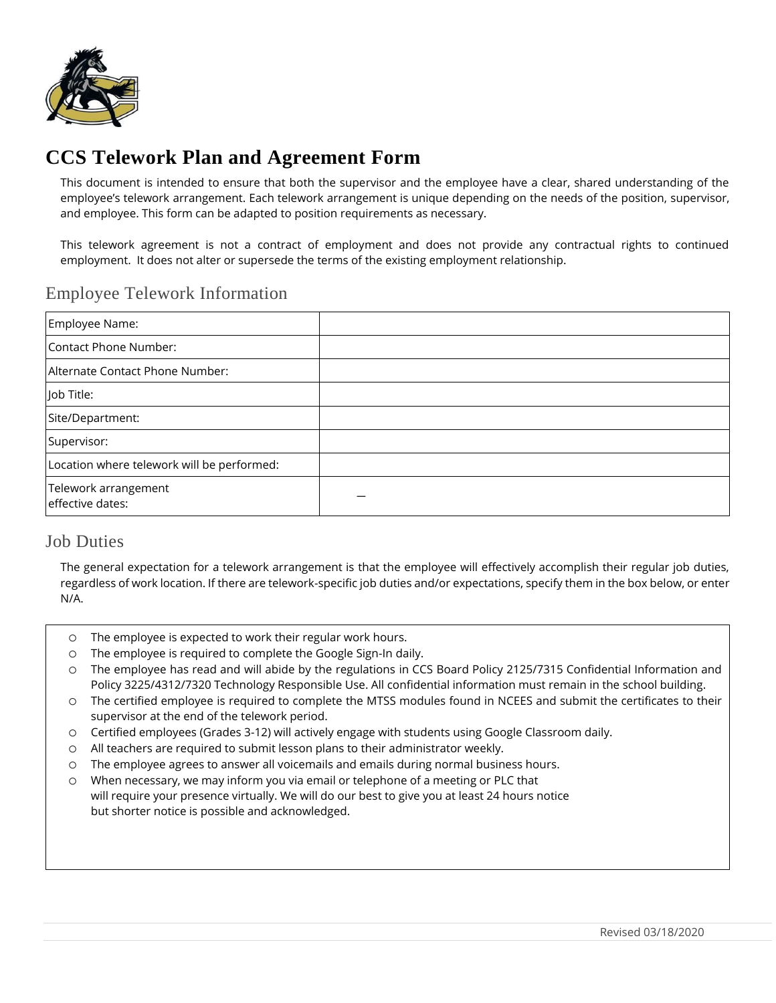

# **CCS Telework Plan and Agreement Form**

This document is intended to ensure that both the supervisor and the employee have a clear, shared understanding of the employee's telework arrangement. Each telework arrangement is unique depending on the needs of the position, supervisor, and employee. This form can be adapted to position requirements as necessary.

This telework agreement is not a contract of employment and does not provide any contractual rights to continued employment. It does not alter or supersede the terms of the existing employment relationship.

#### Employee Telework Information

| Employee Name:                             |  |
|--------------------------------------------|--|
| Contact Phone Number:                      |  |
| Alternate Contact Phone Number:            |  |
| Job Title:                                 |  |
| Site/Department:                           |  |
| Supervisor:                                |  |
| Location where telework will be performed: |  |
| Telework arrangement<br>effective dates:   |  |

#### Job Duties

The general expectation for a telework arrangement is that the employee will effectively accomplish their regular job duties, regardless of work location. If there are telework-specific job duties and/or expectations, specify them in the box below, or enter N/A.

- o The employee is expected to work their regular work hours.
- o The employee is required to complete the Google Sign-In daily.
- o The employee has read and will abide by the regulations in CCS Board Policy 2125/7315 Confidential Information and Policy 3225/4312/7320 Technology Responsible Use. All confidential information must remain in the school building.
- o The certified employee is required to complete the MTSS modules found in NCEES and submit the certificates to their supervisor at the end of the telework period.
- o Certified employees (Grades 3-12) will actively engage with students using Google Classroom daily.
- o All teachers are required to submit lesson plans to their administrator weekly.
- o The employee agrees to answer all voicemails and emails during normal business hours.
- o When necessary, we may inform you via email or telephone of a meeting or PLC that will require your presence virtually. We will do our best to give you at least 24 hours notice but shorter notice is possible and acknowledged.